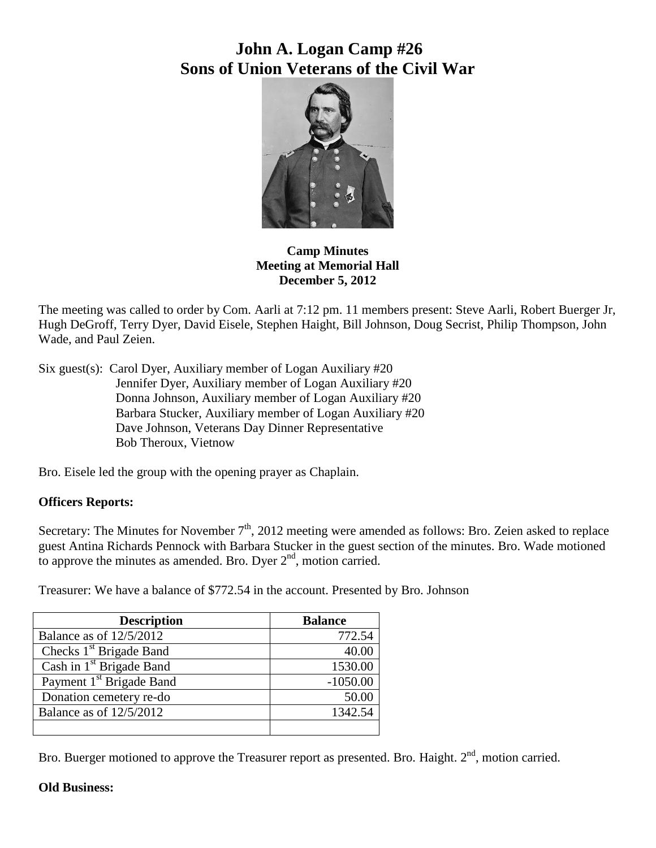# **John A. Logan Camp #26 Sons of Union Veterans of the Civil War**



## **Camp Minutes Meeting at Memorial Hall December 5, 2012**

The meeting was called to order by Com. Aarli at 7:12 pm. 11 members present: Steve Aarli, Robert Buerger Jr, Hugh DeGroff, Terry Dyer, David Eisele, Stephen Haight, Bill Johnson, Doug Secrist, Philip Thompson, John Wade, and Paul Zeien.

Six guest(s): Carol Dyer, Auxiliary member of Logan Auxiliary #20 Jennifer Dyer, Auxiliary member of Logan Auxiliary #20 Donna Johnson, Auxiliary member of Logan Auxiliary #20 Barbara Stucker, Auxiliary member of Logan Auxiliary #20 Dave Johnson, Veterans Day Dinner Representative Bob Theroux, Vietnow

Bro. Eisele led the group with the opening prayer as Chaplain.

## **Officers Reports:**

Secretary: The Minutes for November  $7<sup>th</sup>$ , 2012 meeting were amended as follows: Bro. Zeien asked to replace guest Antina Richards Pennock with Barbara Stucker in the guest section of the minutes. Bro. Wade motioned to approve the minutes as amended. Bro. Dyer  $2<sup>nd</sup>$ , motion carried.

Treasurer: We have a balance of \$772.54 in the account. Presented by Bro. Johnson

| <b>Description</b>                   | <b>Balance</b> |
|--------------------------------------|----------------|
| Balance as of 12/5/2012              | 772.54         |
| Checks 1 <sup>st</sup> Brigade Band  | 40.00          |
| Cash in 1 <sup>st</sup> Brigade Band | 1530.00        |
| Payment 1 <sup>st</sup> Brigade Band | $-1050.00$     |
| Donation cemetery re-do              | 50.00          |
| Balance as of 12/5/2012              | 1342.54        |
|                                      |                |

Bro. Buerger motioned to approve the Treasurer report as presented. Bro. Haight. 2<sup>nd</sup>, motion carried.

## **Old Business:**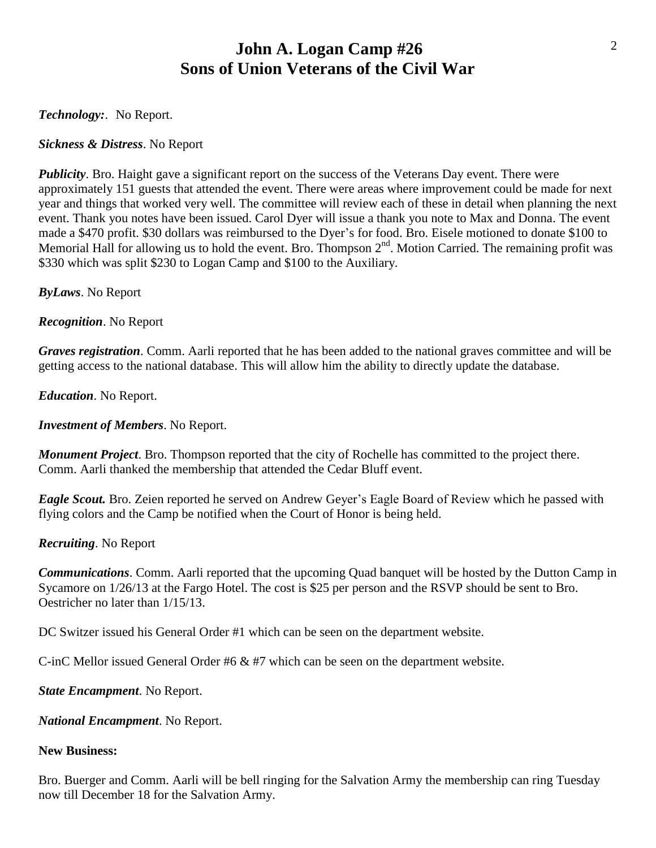## **John A. Logan Camp #26 Sons of Union Veterans of the Civil War**

*Technology:*. No Report.

*Sickness & Distress*. No Report

*Publicity*. Bro. Haight gave a significant report on the success of the Veterans Day event. There were approximately 151 guests that attended the event. There were areas where improvement could be made for next year and things that worked very well. The committee will review each of these in detail when planning the next event. Thank you notes have been issued. Carol Dyer will issue a thank you note to Max and Donna. The event made a \$470 profit. \$30 dollars was reimbursed to the Dyer's for food. Bro. Eisele motioned to donate \$100 to Memorial Hall for allowing us to hold the event. Bro. Thompson  $2<sup>nd</sup>$ . Motion Carried. The remaining profit was \$330 which was split \$230 to Logan Camp and \$100 to the Auxiliary.

*ByLaws*. No Report

*Recognition*. No Report

*Graves registration*. Comm. Aarli reported that he has been added to the national graves committee and will be getting access to the national database. This will allow him the ability to directly update the database.

*Education*. No Report.

*Investment of Members*. No Report.

*Monument Project*. Bro. Thompson reported that the city of Rochelle has committed to the project there. Comm. Aarli thanked the membership that attended the Cedar Bluff event.

*Eagle Scout.* Bro. Zeien reported he served on Andrew Geyer's Eagle Board of Review which he passed with flying colors and the Camp be notified when the Court of Honor is being held.

*Recruiting*. No Report

*Communications*. Comm. Aarli reported that the upcoming Quad banquet will be hosted by the Dutton Camp in Sycamore on 1/26/13 at the Fargo Hotel. The cost is \$25 per person and the RSVP should be sent to Bro. Oestricher no later than 1/15/13.

DC Switzer issued his General Order #1 which can be seen on the department website.

C-inC Mellor issued General Order #6 & #7 which can be seen on the department website.

*State Encampment*. No Report.

*National Encampment*. No Report.

#### **New Business:**

Bro. Buerger and Comm. Aarli will be bell ringing for the Salvation Army the membership can ring Tuesday now till December 18 for the Salvation Army.